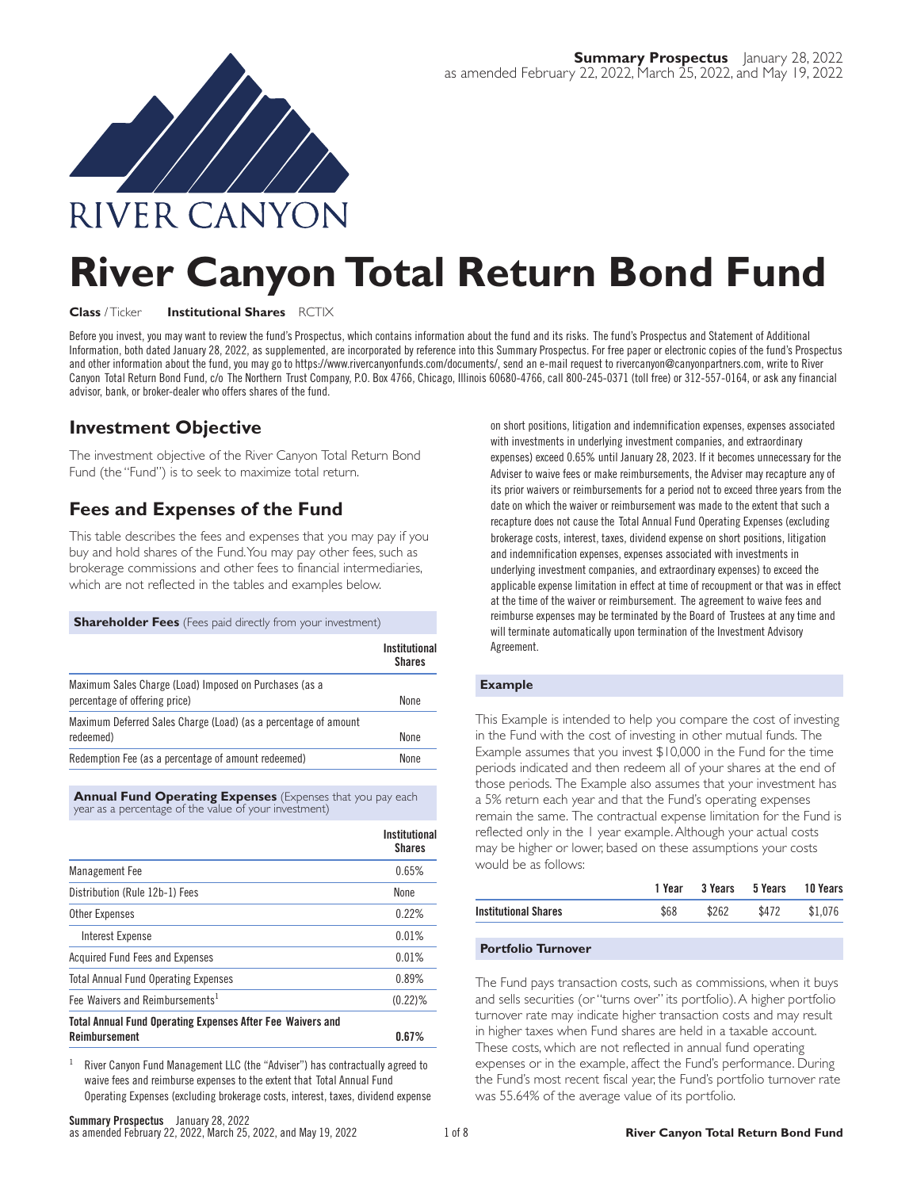

# **River Canyon Total Return Bond Fund**

#### **Class** / Ticker **Institutional Shares** RCTIX

Before you invest, you may want to review the fund's Prospectus, which contains information about the fund and its risks. The fund's Prospectus and Statement of Additional Information, both dated January 28, 2022, as supplemented, are incorporated by reference into this Summary Prospectus. For free paper or electronic copies of the fund's Prospectus and other information about the fund, you may go to https://www.rivercanyonfunds.com/documents/, send an e-mail request to rivercanyon@canyonpartners.com, write to River Canyon Total Return Bond Fund, c/o The Northern Trust Company, P.O. Box 4766, Chicago, Illinois 60680-4766, call 800-245-0371 (toll free) or 312-557-0164, or ask any financial advisor, bank, or broker-dealer who offers shares of the fund.

## **Investment Objective**

The investment objective of the River Canyon Total Return Bond Fund (the "Fund") is to seek to maximize total return.

# **Fees and Expenses of the Fund**

This table describes the fees and expenses that you may pay if you buy and hold shares of the Fund.You may pay other fees, such as brokerage commissions and other fees to financial intermediaries, which are not reflected in the tables and examples below.

## **Shareholder Fees** (Fees paid directly from your investment)

|                                                                                         | Institutional<br><b>Shares</b> |
|-----------------------------------------------------------------------------------------|--------------------------------|
| Maximum Sales Charge (Load) Imposed on Purchases (as a<br>percentage of offering price) | <b>None</b>                    |
| Maximum Deferred Sales Charge (Load) (as a percentage of amount<br>redeemed)            | None                           |
| Redemption Fee (as a percentage of amount redeemed)                                     | <b>None</b>                    |

**Annual Fund Operating Expenses** (Expenses that you pay each year as a percentage of the value of your investment)

|                                                                   | Institutional<br><b>Shares</b> |
|-------------------------------------------------------------------|--------------------------------|
| <b>Management Fee</b>                                             | 0.65%                          |
| Distribution (Rule 12b-1) Fees                                    | None                           |
| <b>Other Expenses</b>                                             | 0.22%                          |
| Interest Expense                                                  | 0.01%                          |
| Acquired Fund Fees and Expenses                                   | 0.01%                          |
| <b>Total Annual Fund Operating Expenses</b>                       | 0.89%                          |
| Fee Waivers and Reimbursements <sup>1</sup>                       | $(0.22)$ %                     |
| <b>Total Annual Fund Operating Expenses After Fee Waivers and</b> |                                |
| <b>Reimbursement</b>                                              | 0.67%                          |

<sup>1</sup> River Canyon Fund Management LLC (the "Adviser") has contractually agreed to waive fees and reimburse expenses to the extent that Total Annual Fund Operating Expenses (excluding brokerage costs, interest, taxes, dividend expense on short positions, litigation and indemnification expenses, expenses associated with investments in underlying investment companies, and extraordinary expenses) exceed 0.65% until January 28, 2023. If it becomes unnecessary for the Adviser to waive fees or make reimbursements, the Adviser may recapture any of its prior waivers or reimbursements for a period not to exceed three years from the date on which the waiver or reimbursement was made to the extent that such a recapture does not cause the Total Annual Fund Operating Expenses (excluding brokerage costs, interest, taxes, dividend expense on short positions, litigation and indemnification expenses, expenses associated with investments in underlying investment companies, and extraordinary expenses) to exceed the applicable expense limitation in effect at time of recoupment or that was in effect at the time of the waiver or reimbursement. The agreement to waive fees and reimburse expenses may be terminated by the Board of Trustees at any time and will terminate automatically upon termination of the Investment Advisory Agreement.

#### **Example**

This Example is intended to help you compare the cost of investing in the Fund with the cost of investing in other mutual funds. The Example assumes that you invest \$10,000 in the Fund for the time periods indicated and then redeem all of your shares at the end of those periods. The Example also assumes that your investment has a 5% return each year and that the Fund's operating expenses remain the same. The contractual expense limitation for the Fund is reflected only in the 1 year example. Although your actual costs may be higher or lower, based on these assumptions your costs would be as follows:

| \$68<br>\$262<br><b>Institutional Shares</b> | \$472 | \$1.076 |
|----------------------------------------------|-------|---------|

#### **Portfolio Turnover**

The Fund pays transaction costs, such as commissions, when it buys and sells securities (or "turns over" its portfolio). A higher portfolio turnover rate may indicate higher transaction costs and may result in higher taxes when Fund shares are held in a taxable account. These costs, which are not reflected in annual fund operating expenses or in the example, affect the Fund's performance. During the Fund's most recent fiscal year, the Fund's portfolio turnover rate was 55.64% of the average value of its portfolio.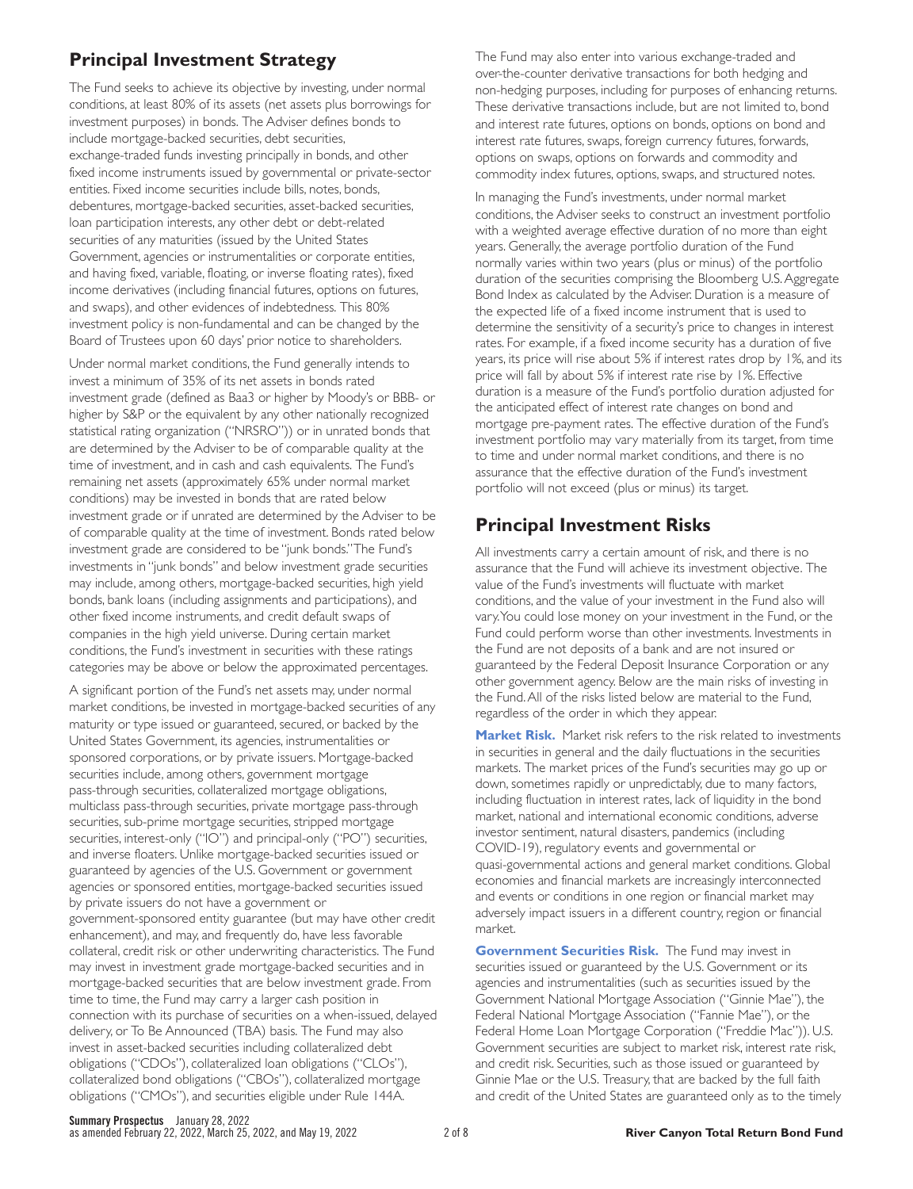# **Principal Investment Strategy**

The Fund seeks to achieve its objective by investing, under normal conditions, at least 80% of its assets (net assets plus borrowings for investment purposes) in bonds. The Adviser defines bonds to include mortgage-backed securities, debt securities, exchange-traded funds investing principally in bonds, and other fixed income instruments issued by governmental or private-sector entities. Fixed income securities include bills, notes, bonds, debentures, mortgage-backed securities, asset-backed securities, loan participation interests, any other debt or debt-related securities of any maturities (issued by the United States Government, agencies or instrumentalities or corporate entities, and having fixed, variable, floating, or inverse floating rates), fixed income derivatives (including financial futures, options on futures, and swaps), and other evidences of indebtedness. This 80% investment policy is non-fundamental and can be changed by the Board of Trustees upon 60 days' prior notice to shareholders.

Under normal market conditions, the Fund generally intends to invest a minimum of 35% of its net assets in bonds rated investment grade (defined as Baa3 or higher by Moody's or BBB- or higher by S&P or the equivalent by any other nationally recognized statistical rating organization ("NRSRO")) or in unrated bonds that are determined by the Adviser to be of comparable quality at the time of investment, and in cash and cash equivalents. The Fund's remaining net assets (approximately 65% under normal market conditions) may be invested in bonds that are rated below investment grade or if unrated are determined by the Adviser to be of comparable quality at the time of investment. Bonds rated below investment grade are considered to be "junk bonds."The Fund's investments in "junk bonds" and below investment grade securities may include, among others, mortgage-backed securities, high yield bonds, bank loans (including assignments and participations), and other fixed income instruments, and credit default swaps of companies in the high yield universe. During certain market conditions, the Fund's investment in securities with these ratings categories may be above or below the approximated percentages.

A significant portion of the Fund's net assets may, under normal market conditions, be invested in mortgage-backed securities of any maturity or type issued or guaranteed, secured, or backed by the United States Government, its agencies, instrumentalities or sponsored corporations, or by private issuers. Mortgage-backed securities include, among others, government mortgage pass-through securities, collateralized mortgage obligations, multiclass pass-through securities, private mortgage pass-through securities, sub-prime mortgage securities, stripped mortgage securities, interest-only ("IO") and principal-only ("PO") securities, and inverse floaters. Unlike mortgage-backed securities issued or guaranteed by agencies of the U.S. Government or government agencies or sponsored entities, mortgage-backed securities issued by private issuers do not have a government or government-sponsored entity guarantee (but may have other credit enhancement), and may, and frequently do, have less favorable collateral, credit risk or other underwriting characteristics. The Fund may invest in investment grade mortgage-backed securities and in mortgage-backed securities that are below investment grade. From time to time, the Fund may carry a larger cash position in connection with its purchase of securities on a when-issued, delayed delivery, or To Be Announced (TBA) basis. The Fund may also invest in asset-backed securities including collateralized debt obligations ("CDOs"), collateralized loan obligations ("CLOs"), collateralized bond obligations ("CBOs"), collateralized mortgage obligations ("CMOs"), and securities eligible under Rule 144A.

The Fund may also enter into various exchange-traded and over-the-counter derivative transactions for both hedging and non-hedging purposes, including for purposes of enhancing returns. These derivative transactions include, but are not limited to, bond and interest rate futures, options on bonds, options on bond and interest rate futures, swaps, foreign currency futures, forwards, options on swaps, options on forwards and commodity and commodity index futures, options, swaps, and structured notes.

In managing the Fund's investments, under normal market conditions, the Adviser seeks to construct an investment portfolio with a weighted average effective duration of no more than eight years. Generally, the average portfolio duration of the Fund normally varies within two years (plus or minus) of the portfolio duration of the securities comprising the Bloomberg U.S. Aggregate Bond Index as calculated by the Adviser. Duration is a measure of the expected life of a fixed income instrument that is used to determine the sensitivity of a security's price to changes in interest rates. For example, if a fixed income security has a duration of five years, its price will rise about 5% if interest rates drop by 1%, and its price will fall by about 5% if interest rate rise by 1%. Effective duration is a measure of the Fund's por tfolio duration adjusted for the anticipated effect of interest rate changes on bond and mortgage pre-payment rates. The effective duration of the Fund's investment portfolio may vary materially from its target, from time to time and under normal market conditions, and there is no assurance that the effective duration of the Fund's investment portfolio will not exceed (plus or minus) its target.

# **Principal Investment Risks**

All investments carry a certain amount of risk, and there is no assurance that the Fund will achieve its investment objective. The value of the Fund's investments will fluctuate with market conditions, and the value of your investment in the Fund also will vary.You could lose money on your investment in the Fund, or the Fund could perform worse than other investments. Investments in the Fund are not deposits of a bank and are not insured or guaranteed by the Federal Deposit Insurance Corporation or any other government agency. Below are the main risks of investing in the Fund. All of the risks listed below are material to the Fund, regardless of the order in which they appear.

**Market Risk.** Market risk refers to the risk related to investments in securities in general and the daily fluctuations in the securities markets. The market prices of the Fund's securities may go up or down, sometimes rapidly or unpredictably, due to many factors, including fluctuation in interest rates, lack of liquidity in the bond market, national and international economic conditions, adverse investor sentiment, natural disasters, pandemics (including COVID-19), regulatory events and governmental or quasi-governmental actions and general market conditions. Global economies and financial markets are increasingly interconnected and events or conditions in one region or financial market may adversely impact issuers in a different country, region or financial market.

**Government Securities Risk.** The Fund may invest in securities issued or guaranteed by the U.S. Government or its agencies and instrumentalities (such as securities issued by the Government National Mortgage Association ("Ginnie Mae"), the Federal National Mortgage Association ("Fannie Mae"), or the Federal Home Loan Mortgage Corporation ("Freddie Mac")). U.S. Government securities are subject to market risk, interest rate risk, and credit risk. Securities, such as those issued or guaranteed by Ginnie Mae or the U.S. Treasury, that are backed by the full faith and credit of the United States are guaranteed only as to the timely

**Summary Prospectus** January 28, 2022<br>as amended February 22, 2022, March 25, 2022, and May 19, 2022 **River Canyon Total Return Bond Fund**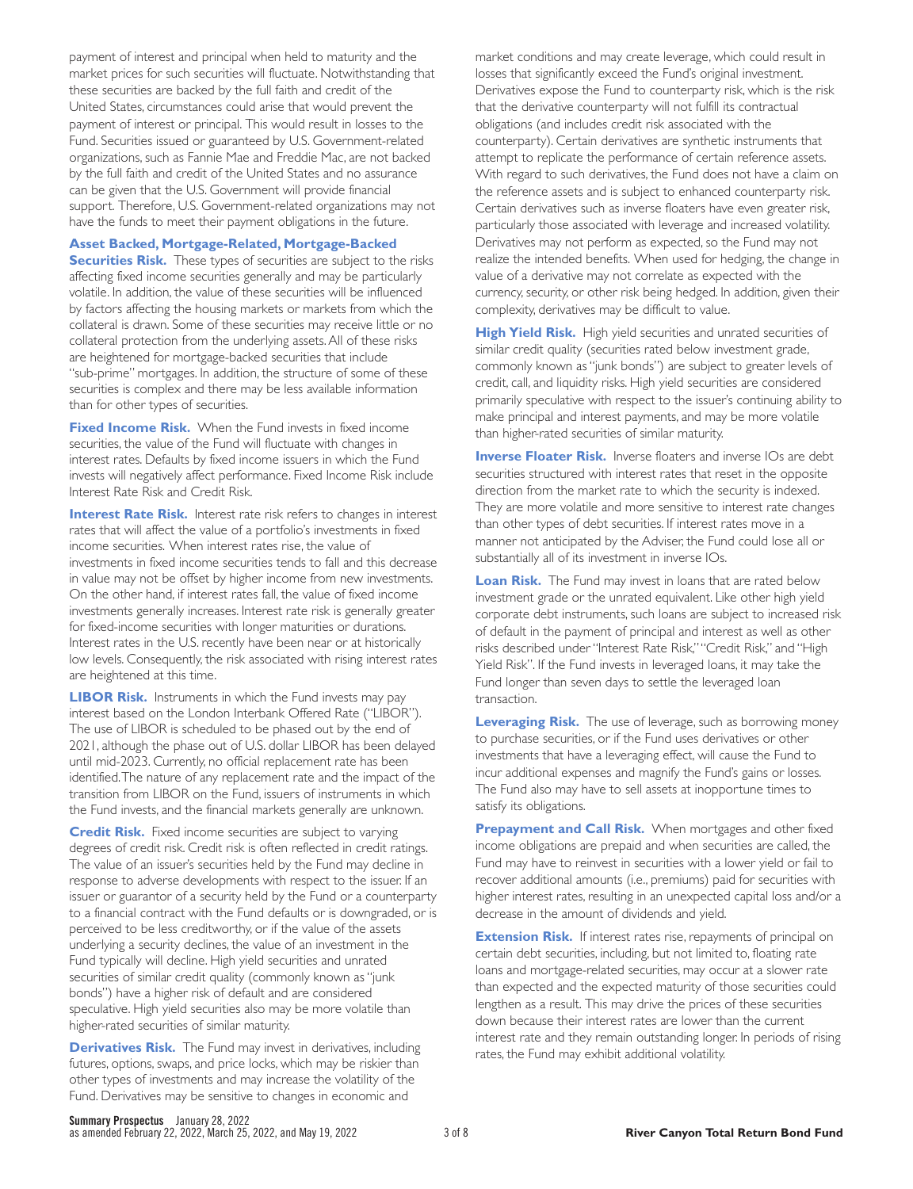payment of interest and principal when held to maturity and the market prices for such securities will fluctuate. Notwithstanding that these securities are backed by the full faith and credit of the United States, circumstances could arise that would prevent the payment of interest or principal. This would result in losses to the Fund. Securities issued or guaranteed by U.S. Government-related organizations, such as Fannie Mae and Freddie Mac, are not backed by the full faith and credit of the United States and no assurance can be given that the U.S. Government will provide financial support. Therefore, U.S. Government-related organizations may not have the funds to meet their payment obligations in the future.

## **Asset Backed, Mortgage-Related, Mortgage-Backed**

**Securities Risk.** These types of securities are subject to the risks affecting fixed income securities generally and may be particularly volatile. In addition, the value of these securities will be influenced by factors affecting the housing markets or markets from which the collateral is drawn. Some of these securities may receive little or no collateral protection from the underlying assets. All of these risks are heightened for mortgage-backed securities that include "sub-prime" mortgages. In addition, the structure of some of these securities is complex and there may be less available information than for other types of securities.

**Fixed Income Risk.** When the Fund invests in fixed income securities, the value of the Fund will fluctuate with changes in interest rates. Defaults by fixed income issuers in which the Fund invests will negatively affect performance. Fixed Income Risk include Interest Rate Risk and Credit Risk.

**Interest Rate Risk.** Interest rate risk refers to changes in interest rates that will affect the value of a portfolio's investments in fixed income securities. When interest rates rise, the value of investments in fixed income securities tends to fall and this decrease in value may not be offset by higher income from new investments. On the other hand, if interest rates fall, the value of fixed income investments generally increases. Interest rate risk is generally greater for fixed-income securities with longer maturities or durations. Interest rates in the U.S. recently have been near or at historically low levels. Consequently, the risk associated with rising interest rates are heightened at this time.

**LIBOR Risk.** Instruments in which the Fund invests may pay interest based on the London Interbank Offered Rate ("LIBOR"). The use of LIBOR is scheduled to be phased out by the end of 2021, although the phase out of U.S. dollar LIBOR has been delayed until mid-2023. Currently, no official replacement rate has been identified.The nature of any replacement rate and the impact of the transition from LIBOR on the Fund, issuers of instruments in which the Fund invests, and the financial markets generally are unknown.

**Credit Risk.** Fixed income securities are subject to varying degrees of credit risk. Credit risk is often reflected in credit ratings. The value of an issuer's securities held by the Fund may decline in response to adverse developments with respect to the issuer. If an issuer or guarantor of a security held by the Fund or a counterparty to a financial contract with the Fund defaults or is downgraded, or is perceived to be less creditworthy, or if the value of the assets underlying a security declines, the value of an investment in the Fund typically will decline. High yield securities and unrated securities of similar credit quality (commonly known as "junk bonds") have a higher risk of default and are considered speculative. High yield securities also may be more volatile than higher-rated securities of similar maturity.

**Derivatives Risk.** The Fund may invest in derivatives, including futures, options, swaps, and price locks, which may be riskier than other types of investments and may increase the volatility of the Fund. Derivatives may be sensitive to changes in economic and

market conditions and may create leverage, which could result in losses that significantly exceed the Fund's original investment. Derivatives expose the Fund to counterparty risk, which is the risk that the derivative counterparty will not fulfill its contractual obligations (and includes credit risk associated with the counterparty). Certain derivatives are synthetic instruments that attempt to replicate the performance of certain reference assets. With regard to such derivatives, the Fund does not have a claim on the reference assets and is subject to enhanced counterparty risk. Certain derivatives such as inverse floaters have even greater risk, particularly those associated with leverage and increased volatility. Derivatives may not perform as expected, so the Fund may not realize the intended benefits. When used for hedging, the change in value of a derivative may not correlate as expected with the currency, security, or other risk being hedged. In addition, given their complexity, derivatives may be difficult to value.

**High Yield Risk.** High yield securities and unrated securities of similar credit quality (securities rated below investment grade, commonly known as "junk bonds") are subject to greater levels of credit, call, and liquidity risks. High yield securities are considered primarily speculative with respect to the issuer's continuing ability to make principal and interest payments, and may be more volatile than higher-rated securities of similar maturity.

**Inverse Floater Risk.** Inverse floaters and inverse IOs are debt. securities structured with interest rates that reset in the opposite direction from the market rate to which the security is indexed. They are more volatile and more sensitive to interest rate changes than other types of debt securities. If interest rates move in a manner not anticipated by the Adviser, the Fund could lose all or substantially all of its investment in inverse IOs.

**Loan Risk.** The Fund may invest in loans that are rated below investment grade or the unrated equivalent. Like other high yield corporate debt instruments, such loans are subject to increased risk of default in the payment of principal and interest as well as other risks described under "Interest Rate Risk,""Credit Risk," and "High Yield Risk". If the Fund invests in leveraged loans, it may take the Fund longer than seven days to settle the leveraged loan transaction.

**Leveraging Risk.** The use of leverage, such as borrowing money to purchase securities, or if the Fund uses derivatives or other investments that have a leveraging effect, will cause the Fund to incur additional expenses and magnify the Fund's gains or losses. The Fund also may have to sell assets at inopportune times to satisfy its obligations.

Prepayment and Call Risk. When mortgages and other fixed income obligations are prepaid and when securities are called, the Fund may have to reinvest in securities with a lower yield or fail to recover additional amounts (i.e., premiums) paid for securities with higher interest rates, resulting in an unexpected capital loss and/or a decrease in the amount of dividends and yield.

**Extension Risk.** If interest rates rise, repayments of principal on certain debt securities, including, but not limited to, floating rate loans and mortgage-related securities, may occur at a slower rate than expected and the expected maturity of those securities could lengthen as a result. This may drive the prices of these securities down because their interest rates are lower than the current interest rate and they remain outstanding longer. In periods of rising rates, the Fund may exhibit additional volatility.

**Summary Prospectus** January 28, 2022<br>as amended February 22, 2022, March 25, 2022, and May 19, 2022 **River Canyon Total Return Bond Fund**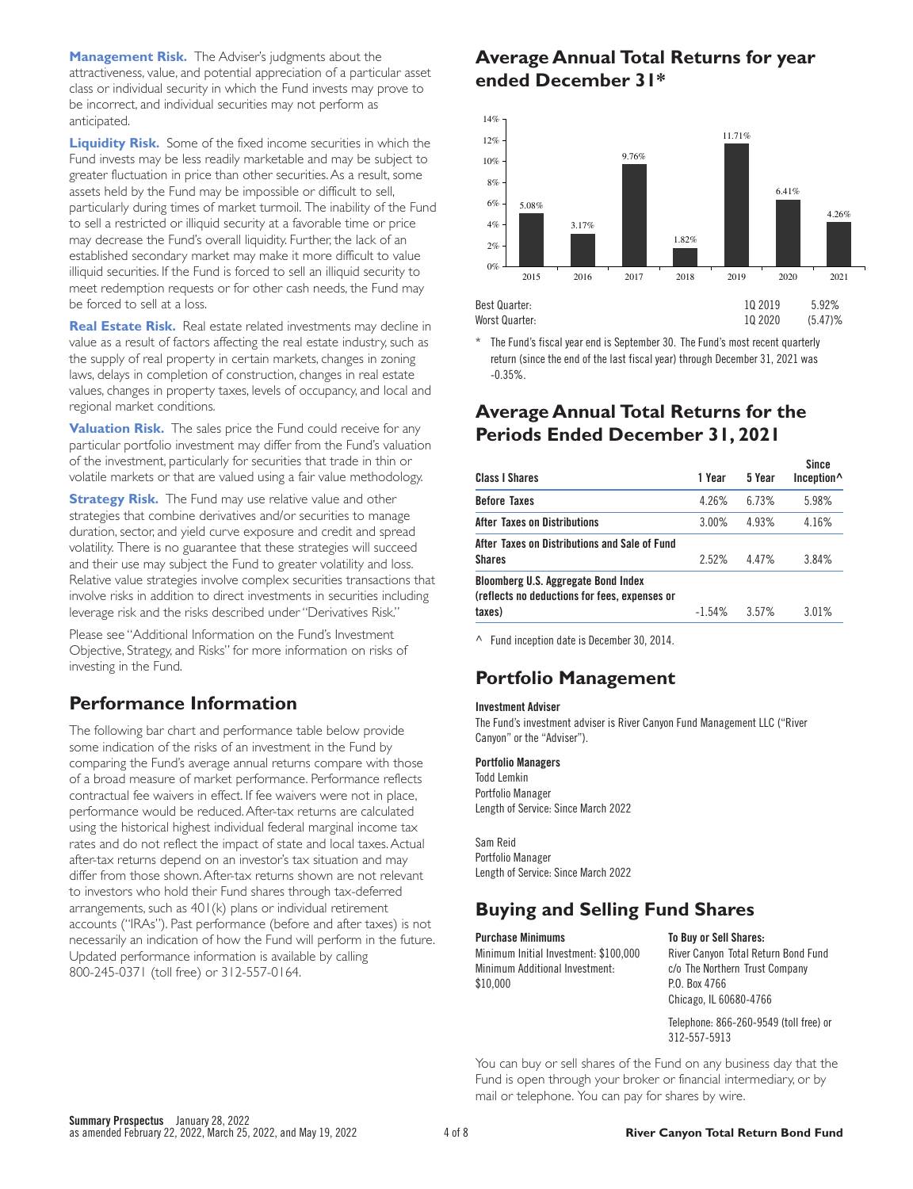**Management Risk.** The Adviser's judgments about the attractiveness, value, and potential appreciation of a particular asset class or individual security in which the Fund invests may prove to be incorrect, and individual securities may not perform as anticipated.

**Liquidity Risk.** Some of the fixed income securities in which the Fund invests may be less readily marketable and may be subject to greater fluctuation in price than other securities. As a result, some assets held by the Fund may be impossible or difficult to sell, particularly during times of market turmoil. The inability of the Fund to sell a restricted or illiquid security at a favorable time or price may decrease the Fund's overall liquidity. Further, the lack of an established secondary market may make it more difficult to value illiquid securities. If the Fund is forced to sell an illiquid security to meet redemption requests or for other cash needs, the Fund may be forced to sell at a loss.

**Real Estate Risk.** Real estate related investments may decline in value as a result of factors affecting the real estate industry, such as the supply of real property in certain markets, changes in zoning laws, delays in completion of construction, changes in real estate values, changes in property taxes, levels of occupancy, and local and regional market conditions.

**Valuation Risk.** The sales price the Fund could receive for any particular portfolio investment may differ from the Fund's valuation of the investment, par ticularly for securities that trade in thin or volatile markets or that are valued using a fair value methodology.

**Strategy Risk.** The Fund may use relative value and other strategies that combine derivatives and/or securities to manage duration, sector, and yield curve exposure and credit and spread volatility. There is no guarantee that these strategies will succeed and their use may subject the Fund to greater volatility and loss. Relative value strategies involve complex securities transactions that involve risks in addition to direct investments in securities including leverage risk and the risks described under "Derivatives Risk."

Please see "Additional Information on the Fund's Investment Objective, Strategy, and Risks" for more information on risks of investing in the Fund.

## **Performance Information**

The following bar chart and performance table below provide some indication of the risks of an investment in the Fund by comparing the Fund's average annual returns compare with those of a broad measure of market performance. Performance reflects contractual fee waivers in effect. If fee waivers were not in place, performance would be reduced. After-tax returns are calculated using the historical highest individual federal marginal income tax rates and do not reflect the impact of state and local taxes. Actual after-tax returns depend on an investor's tax situation and may differ from those shown. After-tax returns shown are not relevant to investors who hold their Fund shares through tax-deferred arrangements, such as 401(k) plans or individual retirement accounts ("IRAs"). Past performance (before and after taxes) is not necessarily an indication of how the Fund will perform in the future. Updated performance information is available by calling 800-245-0371 (toll free) or 312-557-0164.

# **Average Annual Total Returns for year ended December 31\***



\* The Fund's fiscal year end is September 30. The Fund's most recent quarterly return (since the end of the last fiscal year) through December 31, 2021 was -0.35%.

## **Average Annual Total Returns for the Periods Ended December 31, 2021**

| <b>Class I Shares</b>                                                                                 | 1 Year   | 5 Year   | <b>Since</b><br>Inception <sup>^</sup> |
|-------------------------------------------------------------------------------------------------------|----------|----------|----------------------------------------|
| <b>Before Taxes</b>                                                                                   | 4.26%    | 6.73%    | 5.98%                                  |
| <b>After Taxes on Distributions</b>                                                                   | 3.00%    | 4.93%    | 4.16%                                  |
| After Taxes on Distributions and Sale of Fund<br><b>Shares</b>                                        | 2.52%    | 447%     | 3.84%                                  |
| <b>Bloomberg U.S. Aggregate Bond Index</b><br>(reflects no deductions for fees, expenses or<br>taxes) | $-1.54%$ | $3.57\%$ | 3.01%                                  |
|                                                                                                       |          |          |                                        |

^ Fund inception date is December 30, 2014.

## **Portfolio Management**

## **Investment Adviser**

The Fund's investment adviser is River Canyon Fund Management LLC ("River Canyon" or the "Adviser").

#### **Portfolio Managers**

Todd Lemkin Portfolio Manager Length of Service: Since March 2022

Sam Reid Portfolio Manager Length of Service: Since March 2022

# **Buying and Selling Fund Shares**

**Purchase Minimums To Buy or Sell Shares:** Minimum Initial Investment: \$100,000 Minimum Additional Investment: \$10,000

River Canyon Total Return Bond Fund c/o The Northern Trust Company P.O. Box 4766 Chicago, IL 60680-4766

Telephone: 866-260-9549 (toll free) or 312-557-5913

You can buy or sell shares of the Fund on any business day that the Fund is open through your broker or financial intermediary, or by mail or telephone. You can pay for shares by wire.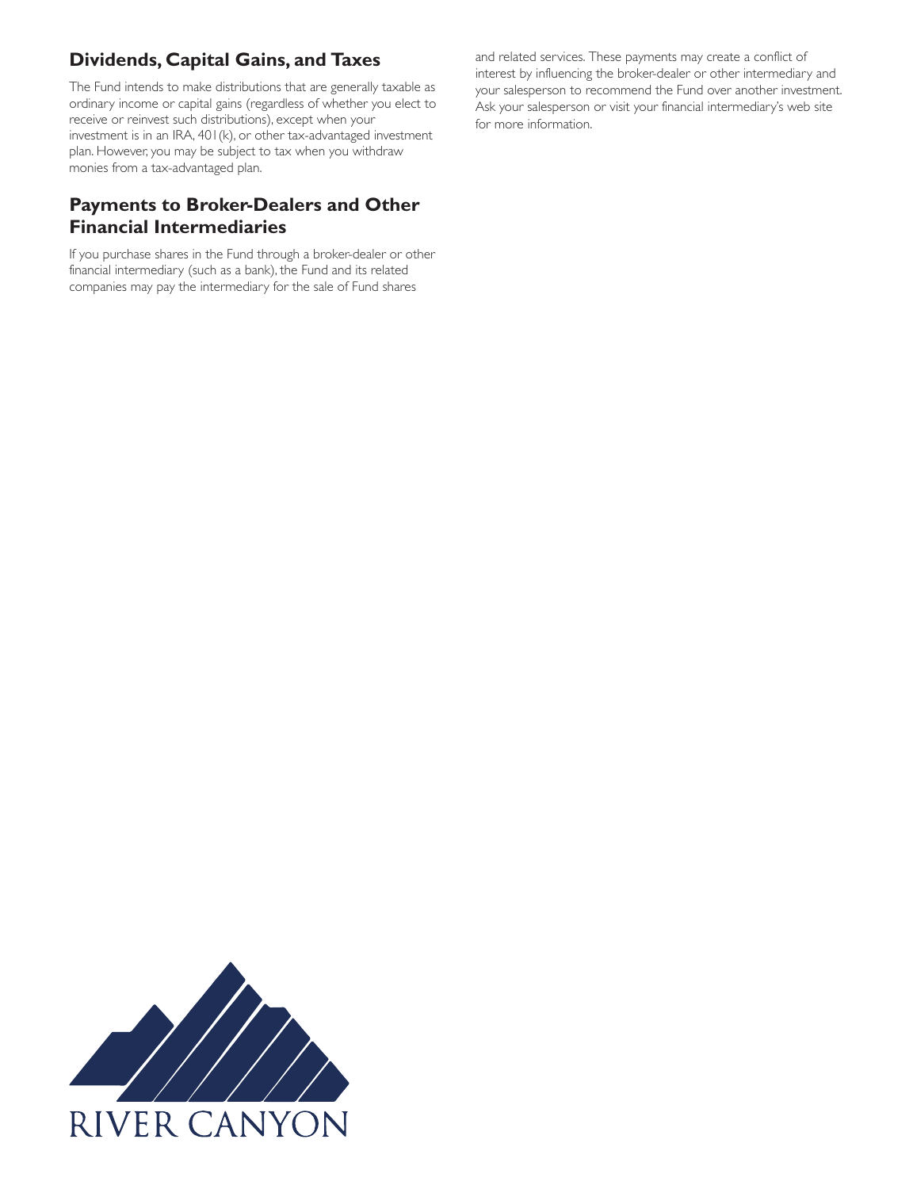# **Dividends, Capital Gains, and Taxes**

The Fund intends to make distributions that are generally taxable as ordinary income or capital gains (regardless of whether you elect to receive or reinvest such distributions), except when your investment is in an IRA, 401(k), or other tax-advantaged investment plan. However, you may be subject to tax when you withdraw monies from a tax-advantaged plan.

# **Payments to Broker-Dealers and Other Financial Intermediaries**

If you purchase shares in the Fund through a broker-dealer or other financial intermediary (such as a bank), the Fund and its related companies may pay the intermediary for the sale of Fund shares

and related services. These payments may create a conflict of interest by influencing the broker-dealer or other intermediary and your salesperson to recommend the Fund over another investment. Ask your salesperson or visit your financial intermediary's web site for more information.